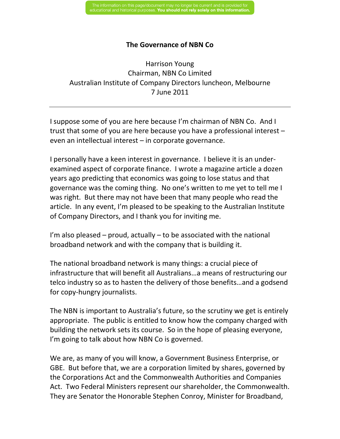## **The Governance of NBN Co**

Harrison Young Chairman, NBN Co Limited Australian Institute of Company Directors luncheon, Melbourne 7 June 2011

I suppose some of you are here because I'm chairman of NBN Co. And I trust that some of you are here because you have a professional interest – even an intellectual interest – in corporate governance.

I personally have a keen interest in governance. I believe it is an underexamined aspect of corporate finance. I wrote a magazine article a dozen years ago predicting that economics was going to lose status and that governance was the coming thing. No one's written to me yet to tell me I was right. But there may not have been that many people who read the article. In any event, I'm pleased to be speaking to the Australian Institute of Company Directors, and I thank you for inviting me.

I'm also pleased – proud, actually – to be associated with the national broadband network and with the company that is building it.

The national broadband network is many things: a crucial piece of infrastructure that will benefit all Australians…a means of restructuring our telco industry so as to hasten the delivery of those benefits…and a godsend for copy-hungry journalists.

The NBN is important to Australia's future, so the scrutiny we get is entirely appropriate. The public is entitled to know how the company charged with building the network sets its course. So in the hope of pleasing everyone, I'm going to talk about how NBN Co is governed.

We are, as many of you will know, a Government Business Enterprise, or GBE. But before that, we are a corporation limited by shares, governed by the Corporations Act and the Commonwealth Authorities and Companies Act. Two Federal Ministers represent our shareholder, the Commonwealth. They are Senator the Honorable Stephen Conroy, Minister for Broadband,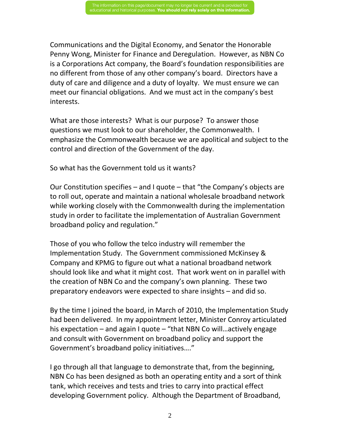Communications and the Digital Economy, and Senator the Honorable Penny Wong, Minister for Finance and Deregulation. However, as NBN Co is a Corporations Act company, the Board's foundation responsibilities are no different from those of any other company's board. Directors have a duty of care and diligence and a duty of loyalty. We must ensure we can meet our financial obligations. And we must act in the company's best interests.

What are those interests? What is our purpose? To answer those questions we must look to our shareholder, the Commonwealth. I emphasize the Commonwealth because we are apolitical and subject to the control and direction of the Government of the day.

So what has the Government told us it wants?

Our Constitution specifies – and I quote – that "the Company's objects are to roll out, operate and maintain a national wholesale broadband network while working closely with the Commonwealth during the implementation study in order to facilitate the implementation of Australian Government broadband policy and regulation."

Those of you who follow the telco industry will remember the Implementation Study. The Government commissioned McKinsey & Company and KPMG to figure out what a national broadband network should look like and what it might cost. That work went on in parallel with the creation of NBN Co and the company's own planning. These two preparatory endeavors were expected to share insights – and did so.

By the time I joined the board, in March of 2010, the Implementation Study had been delivered. In my appointment letter, Minister Conroy articulated his expectation – and again I quote – "that NBN Co will…actively engage and consult with Government on broadband policy and support the Government's broadband policy initiatives…."

I go through all that language to demonstrate that, from the beginning, NBN Co has been designed as both an operating entity and a sort of think tank, which receives and tests and tries to carry into practical effect developing Government policy. Although the Department of Broadband,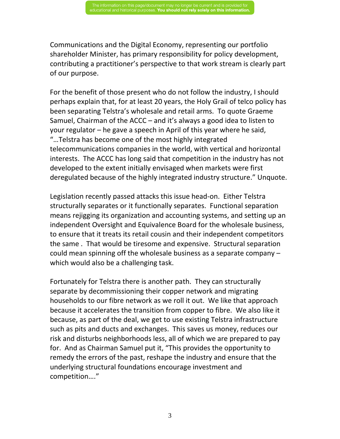Communications and the Digital Economy, representing our portfolio shareholder Minister, has primary responsibility for policy development, contributing a practitioner's perspective to that work stream is clearly part of our purpose.

For the benefit of those present who do not follow the industry, I should perhaps explain that, for at least 20 years, the Holy Grail of telco policy has been separating Telstra's wholesale and retail arms. To quote Graeme Samuel, Chairman of the ACCC – and it's always a good idea to listen to your regulator – he gave a speech in April of this year where he said, "…Telstra has become one of the most highly integrated telecommunications companies in the world, with vertical and horizontal interests. The ACCC has long said that competition in the industry has not developed to the extent initially envisaged when markets were first deregulated because of the highly integrated industry structure." Unquote.

Legislation recently passed attacks this issue head-on. Either Telstra structurally separates or it functionally separates. Functional separation means rejigging its organization and accounting systems, and setting up an independent Oversight and Equivalence Board for the wholesale business, to ensure that it treats its retail cousin and their independent competitors the same . That would be tiresome and expensive. Structural separation could mean spinning off the wholesale business as a separate company – which would also be a challenging task.

Fortunately for Telstra there is another path. They can structurally separate by decommissioning their copper network and migrating households to our fibre network as we roll it out. We like that approach because it accelerates the transition from copper to fibre. We also like it because, as part of the deal, we get to use existing Telstra infrastructure such as pits and ducts and exchanges. This saves us money, reduces our risk and disturbs neighborhoods less, all of which we are prepared to pay for. And as Chairman Samuel put it, "This provides the opportunity to remedy the errors of the past, reshape the industry and ensure that the underlying structural foundations encourage investment and competition…."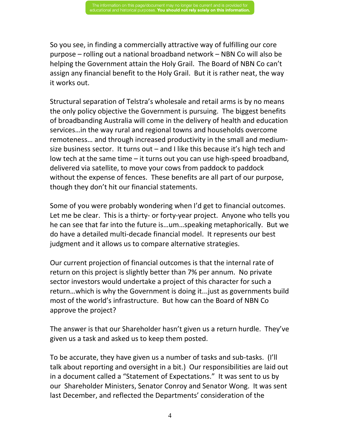So you see, in finding a commercially attractive way of fulfilling our core purpose – rolling out a national broadband network – NBN Co will also be helping the Government attain the Holy Grail. The Board of NBN Co can't assign any financial benefit to the Holy Grail. But it is rather neat, the way it works out.

Structural separation of Telstra's wholesale and retail arms is by no means the only policy objective the Government is pursuing. The biggest benefits of broadbanding Australia will come in the delivery of health and education services…in the way rural and regional towns and households overcome remoteness… and through increased productivity in the small and mediumsize business sector. It turns out – and I like this because it's high tech and low tech at the same time – it turns out you can use high-speed broadband, delivered via satellite, to move your cows from paddock to paddock without the expense of fences. These benefits are all part of our purpose, though they don't hit our financial statements.

Some of you were probably wondering when I'd get to financial outcomes. Let me be clear. This is a thirty- or forty-year project. Anyone who tells you he can see that far into the future is…um…speaking metaphorically. But we do have a detailed multi-decade financial model. It represents our best judgment and it allows us to compare alternative strategies.

Our current projection of financial outcomes is that the internal rate of return on this project is slightly better than 7% per annum. No private sector investors would undertake a project of this character for such a return…which is why the Government is doing it...just as governments build most of the world's infrastructure. But how can the Board of NBN Co approve the project?

The answer is that our Shareholder hasn't given us a return hurdle. They've given us a task and asked us to keep them posted.

To be accurate, they have given us a number of tasks and sub-tasks. (I'll talk about reporting and oversight in a bit.) Our responsibilities are laid out in a document called a "Statement of Expectations." It was sent to us by our Shareholder Ministers, Senator Conroy and Senator Wong. It was sent last December, and reflected the Departments' consideration of the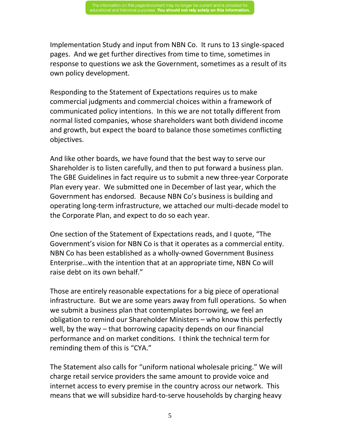Implementation Study and input from NBN Co. It runs to 13 single-spaced pages. And we get further directives from time to time, sometimes in response to questions we ask the Government, sometimes as a result of its own policy development.

Responding to the Statement of Expectations requires us to make commercial judgments and commercial choices within a framework of communicated policy intentions. In this we are not totally different from normal listed companies, whose shareholders want both dividend income and growth, but expect the board to balance those sometimes conflicting objectives.

And like other boards, we have found that the best way to serve our Shareholder is to listen carefully, and then to put forward a business plan. The GBE Guidelines in fact require us to submit a new three-year Corporate Plan every year. We submitted one in December of last year, which the Government has endorsed. Because NBN Co's business is building and operating long-term infrastructure, we attached our multi-decade model to the Corporate Plan, and expect to do so each year.

One section of the Statement of Expectations reads, and I quote, "The Government's vision for NBN Co is that it operates as a commercial entity. NBN Co has been established as a wholly-owned Government Business Enterprise…with the intention that at an appropriate time, NBN Co will raise debt on its own behalf."

Those are entirely reasonable expectations for a big piece of operational infrastructure. But we are some years away from full operations. So when we submit a business plan that contemplates borrowing, we feel an obligation to remind our Shareholder Ministers – who know this perfectly well, by the way – that borrowing capacity depends on our financial performance and on market conditions. I think the technical term for reminding them of this is "CYA."

The Statement also calls for "uniform national wholesale pricing." We will charge retail service providers the same amount to provide voice and internet access to every premise in the country across our network. This means that we will subsidize hard-to-serve households by charging heavy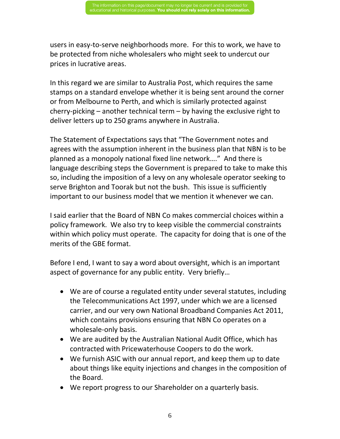users in easy-to-serve neighborhoods more. For this to work, we have to be protected from niche wholesalers who might seek to undercut our prices in lucrative areas.

In this regard we are similar to Australia Post, which requires the same stamps on a standard envelope whether it is being sent around the corner or from Melbourne to Perth, and which is similarly protected against cherry-picking – another technical term – by having the exclusive right to deliver letters up to 250 grams anywhere in Australia.

The Statement of Expectations says that "The Government notes and agrees with the assumption inherent in the business plan that NBN is to be planned as a monopoly national fixed line network…." And there is language describing steps the Government is prepared to take to make this so, including the imposition of a levy on any wholesale operator seeking to serve Brighton and Toorak but not the bush. This issue is sufficiently important to our business model that we mention it whenever we can.

I said earlier that the Board of NBN Co makes commercial choices within a policy framework. We also try to keep visible the commercial constraints within which policy must operate. The capacity for doing that is one of the merits of the GBE format.

Before I end, I want to say a word about oversight, which is an important aspect of governance for any public entity. Very briefly…

- We are of course a regulated entity under several statutes, including the Telecommunications Act 1997, under which we are a licensed carrier, and our very own National Broadband Companies Act 2011, which contains provisions ensuring that NBN Co operates on a wholesale-only basis.
- We are audited by the Australian National Audit Office, which has contracted with Pricewaterhouse Coopers to do the work.
- We furnish ASIC with our annual report, and keep them up to date about things like equity injections and changes in the composition of the Board.
- We report progress to our Shareholder on a quarterly basis.